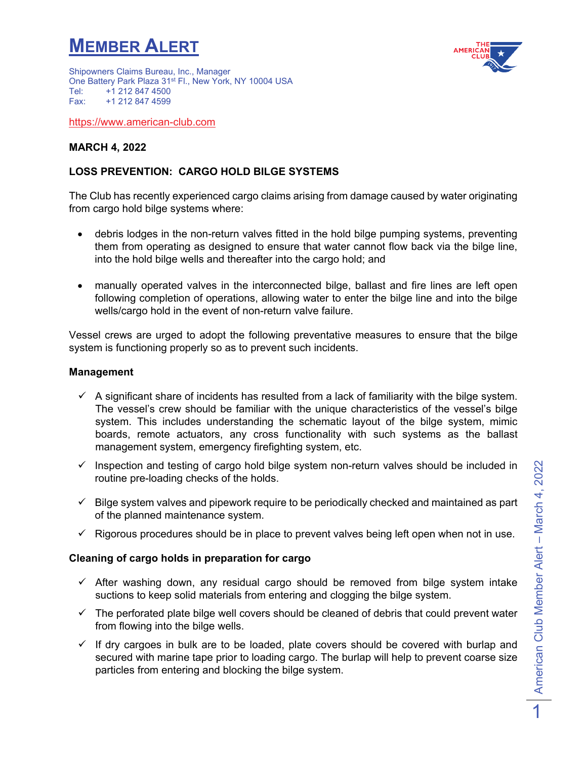## **MEMBER ALERT**



Shipowners Claims Bureau, Inc., Manager One Battery Park Plaza 31<sup>st</sup> Fl., New York, NY 10004 USA<br>Tel: +1 212 847 4500 Tel: +1 212 847 4500<br>Fax: +1 212 847 4599 +1 212 847 4599

[https://www.american-club.com](https://www.american-club.com/)

### **MARCH 4, 2022**

## **LOSS PREVENTION: CARGO HOLD BILGE SYSTEMS**

The Club has recently experienced cargo claims arising from damage caused by water originating from cargo hold bilge systems where:

- debris lodges in the non-return valves fitted in the hold bilge pumping systems, preventing them from operating as designed to ensure that water cannot flow back via the bilge line, into the hold bilge wells and thereafter into the cargo hold; and
- manually operated valves in the interconnected bilge, ballast and fire lines are left open following completion of operations, allowing water to enter the bilge line and into the bilge wells/cargo hold in the event of non-return valve failure.

Vessel crews are urged to adopt the following preventative measures to ensure that the bilge system is functioning properly so as to prevent such incidents.

#### **Management**

- $\checkmark$  A significant share of incidents has resulted from a lack of familiarity with the bilge system. The vessel's crew should be familiar with the unique characteristics of the vessel's bilge system. This includes understanding the schematic layout of the bilge system, mimic boards, remote actuators, any cross functionality with such systems as the ballast management system, emergency firefighting system, etc.
- $\checkmark$  Inspection and testing of cargo hold bilge system non-return valves should be included in routine pre-loading checks of the holds.
- $\checkmark$  Bilge system valves and pipework require to be periodically checked and maintained as part of the planned maintenance system.
- $\checkmark$  Rigorous procedures should be in place to prevent valves being left open when not in use.

#### **Cleaning of cargo holds in preparation for cargo**

- $\checkmark$  After washing down, any residual cargo should be removed from bilge system intake suctions to keep solid materials from entering and clogging the bilge system.
- $\checkmark$  The perforated plate bilge well covers should be cleaned of debris that could prevent water from flowing into the bilge wells.
- $\checkmark$  If dry cargoes in bulk are to be loaded, plate covers should be covered with burlap and secured with marine tape prior to loading cargo. The burlap will help to prevent coarse size particles from entering and blocking the bilge system.